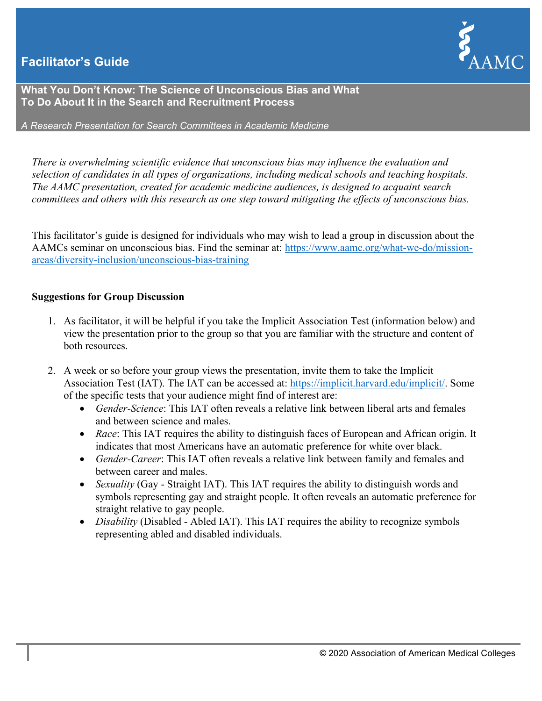## **Facilitator's Guide**



**What You Don't Know: The Science of Unconscious Bias and What To Do About It in the Search and Recruitment Process**

*A Research Presentation for Search Committees in Academic Medicine*

*There is overwhelming scientific evidence that unconscious bias may influence the evaluation and selection of candidates in all types of organizations, including medical schools and teaching hospitals. The AAMC presentation, created for academic medicine audiences, is designed to acquaint search committees and others with this research as one step toward mitigating the effects of unconscious bias.*

This facilitator's guide is designed for individuals who may wish to lead a group in discussion about the AAMCs seminar on unconscious bias. Find the seminar at: [https://www.aamc.org/what-we-do/mission](https://www.aamc.org/what-we-do/mission-areas/diversity-inclusion/unconscious-bias-training)[areas/diversity-inclusion/unconscious-bias-training](https://www.aamc.org/what-we-do/mission-areas/diversity-inclusion/unconscious-bias-training)

## **Suggestions for Group Discussion**

- 1. As facilitator, it will be helpful if you take the Implicit Association Test (information below) and view the presentation prior to the group so that you are familiar with the structure and content of both resources.
- 2. A week or so before your group views the presentation, invite them to take the Implicit Association Test (IAT). The IAT can be accessed at: [https://implicit.harvard.edu/implicit/.](https://implicit.harvard.edu/implicit/) Some of the specific tests that your audience might find of interest are:
	- *Gender-Science*: This IAT often reveals a relative link between liberal arts and females and between science and males.
	- *Race*: This IAT requires the ability to distinguish faces of European and African origin. It indicates that most Americans have an automatic preference for white over black.
	- *Gender-Career*: This IAT often reveals a relative link between family and females and between career and males.
	- *Sexuality* (Gay Straight IAT). This IAT requires the ability to distinguish words and symbols representing gay and straight people. It often reveals an automatic preference for straight relative to gay people.
	- *Disability* (Disabled Abled IAT). This IAT requires the ability to recognize symbols representing abled and disabled individuals.